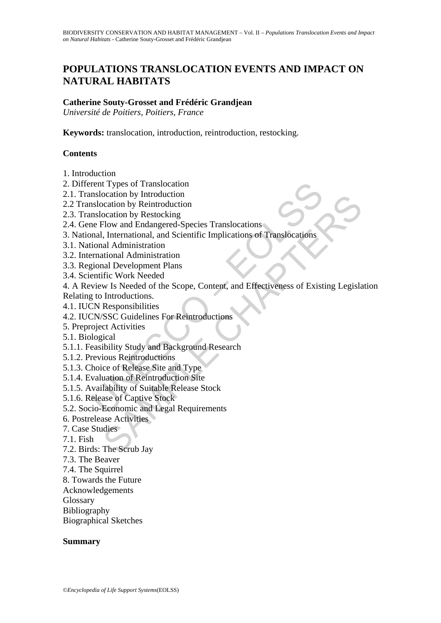# **POPULATIONS TRANSLOCATION EVENTS AND IMPACT ON NATURAL HABITATS**

#### **Catherine Souty-Grosset and Frédéric Grandjean**

*Université de Poitiers, Poitiers, France* 

**Keywords:** translocation, introduction, reintroduction, restocking.

#### **Contents**

- 1. Introduction
- 2. Different Types of Translocation
- 2.1. Translocation by Introduction
- 2.2 Translocation by Reintroduction
- 2.3. Translocation by Restocking
- 2.4. Gene Flow and Endangered-Species Translocations
- 3. National, International, and Scientific Implications of Translocations
- 3.1. National Administration
- 3.2. International Administration
- 3.3. Regional Development Plans
- 3.4. Scientific Work Needed
- rent Types of Translocation<br>
silocation by Reintroduction<br>
silocation by Reintroduction<br>
silocation by Reintroduction<br>
mslocation by Reintroduction<br>
er Flow and Endangered-Species Translocations<br>
mal, International Adminis ocation by Infroduction<br>cation by Reintroduction<br>cation by Restrocking<br>Flow and Endangered-Species Translocations<br>In International, and Scientific Implications of Translocations<br>all Administration<br>included Administration<br>w 4. A Review Is Needed of the Scope, Content, and Effectiveness of Existing Legislation
- Relating to Introductions.
- 4.1. IUCN Responsibilities
- 4.2. IUCN/SSC Guidelines For Reintroductions
- 5. Preproject Activities
- 5.1. Biological
- 5.1.1. Feasibility Study and Background Research
- 5.1.2. Previous Reintroductions
- 5.1.3. Choice of Release Site and Type
- 5.1.4. Evaluation of Reintroduction Site
- 5.1.5. Availability of Suitable Release Stock
- 5.1.6. Release of Captive Stock
- 5.2. Socio-Economic and Legal Requirements
- 6. Postrelease Activities
- 7. Case Studies
- 7.1. Fish
- 7.2. Birds: The Scrub Jay
- 7.3. The Beaver
- 7.4. The Squirrel
- 8. Towards the Future
- Acknowledgements
- Glossary
- Bibliography
- Biographical Sketches

#### **Summary**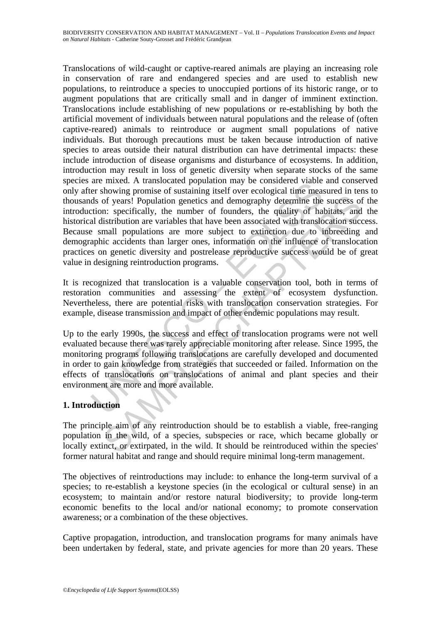are in the constant of unanticated population intary be consisted under<br>the rest consistent points of statining itself over ecological time means ds of years! Population genetics and demography determine the tion: specific of years! Population genetics and demography determine the success of<br>a: specifically, the number of founders, the quality of habitats, and<br>istribution are variables that have been associated with translocation success<br>mal Translocations of wild-caught or captive-reared animals are playing an increasing role in conservation of rare and endangered species and are used to establish new populations, to reintroduce a species to unoccupied portions of its historic range, or to augment populations that are critically small and in danger of imminent extinction. Translocations include establishing of new populations or re-establishing by both the artificial movement of individuals between natural populations and the release of (often captive-reared) animals to reintroduce or augment small populations of native individuals. But thorough precautions must be taken because introduction of native species to areas outside their natural distribution can have detrimental impacts: these include introduction of disease organisms and disturbance of ecosystems. In addition, introduction may result in loss of genetic diversity when separate stocks of the same species are mixed. A translocated population may be considered viable and conserved only after showing promise of sustaining itself over ecological time measured in tens to thousands of years! Population genetics and demography determine the success of the introduction: specifically, the number of founders, the quality of habitats, and the historical distribution are variables that have been associated with translocation success. Because small populations are more subject to extinction due to inbreeding and demographic accidents than larger ones, information on the influence of translocation practices on genetic diversity and postrelease reproductive success would be of great value in designing reintroduction programs.

It is recognized that translocation is a valuable conservation tool, both in terms of restoration communities and assessing the extent of ecosystem dysfunction. Nevertheless, there are potential risks with translocation conservation strategies. For example, disease transmission and impact of other endemic populations may result.

Up to the early 1990s, the success and effect of translocation programs were not well evaluated because there was rarely appreciable monitoring after release. Since 1995, the monitoring programs following translocations are carefully developed and documented in order to gain knowledge from strategies that succeeded or failed. Information on the effects of translocations on translocations of animal and plant species and their environment are more and more available.

## **1. Introduction**

The principle aim of any reintroduction should be to establish a viable, free-ranging population in the wild, of a species, subspecies or race, which became globally or locally extinct, or extirpated, in the wild. It should be reintroduced within the species' former natural habitat and range and should require minimal long-term management.

The objectives of reintroductions may include: to enhance the long-term survival of a species; to re-establish a keystone species (in the ecological or cultural sense) in an ecosystem; to maintain and/or restore natural biodiversity; to provide long-term economic benefits to the local and/or national economy; to promote conservation awareness; or a combination of the these objectives.

Captive propagation, introduction, and translocation programs for many animals have been undertaken by federal, state, and private agencies for more than 20 years. These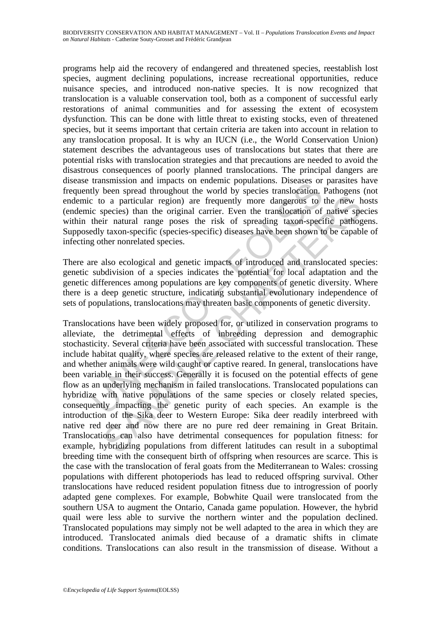programs help aid the recovery of endangered and threatened species, reestablish lost species, augment declining populations, increase recreational opportunities, reduce nuisance species, and introduced non-native species. It is now recognized that translocation is a valuable conservation tool, both as a component of successful early restorations of animal communities and for assessing the extent of ecosystem dysfunction. This can be done with little threat to existing stocks, even of threatened species, but it seems important that certain criteria are taken into account in relation to any translocation proposal. It is why an IUCN (i.e., the World Conservation Union) statement describes the advantageous uses of translocations but states that there are potential risks with translocation strategies and that precautions are needed to avoid the disastrous consequences of poorly planned translocations. The principal dangers are disease transmission and impacts on endemic populations. Diseases or parasites have frequently been spread throughout the world by species translocation. Pathogens (not endemic to a particular region) are frequently more dangerous to the new hosts (endemic species) than the original carrier. Even the translocation of native species within their natural range poses the risk of spreading taxon-specific pathogens. Supposedly taxon-specific (species-specific) diseases have been shown to be capable of infecting other nonrelated species.

There are also ecological and genetic impacts of introduced and translocated species: genetic subdivision of a species indicates the potential for local adaptation and the genetic differences among populations are key components of genetic diversity. Where there is a deep genetic structure, indicating substantial evolutionary independence of sets of populations, translocations may threaten basic components of genetic diversity.

unamismond uniquets on enterinte populations. Diseases or<br>thy been spread throughout the world by species translocation.<br>
2 to a particular region) are frequently more dangerous to<br>
ic species) than the original carrier. E by a particular region) are frequently more dangerous to the new hypecies) than the original carrier. Even the translocation of native spectrics) than the original carrier. Even the translocation of native spectration prov Translocations have been widely proposed for, or utilized in conservation programs to alleviate, the detrimental effects of inbreeding depression and demographic stochasticity. Several criteria have been associated with successful translocation. These include habitat quality, where species are released relative to the extent of their range, and whether animals were wild caught or captive reared. In general, translocations have been variable in their success. Generally it is focused on the potential effects of gene flow as an underlying mechanism in failed translocations. Translocated populations can hybridize with native populations of the same species or closely related species, consequently impacting the genetic purity of each species. An example is the introduction of the Sika deer to Western Europe: Sika deer readily interbreed with native red deer and now there are no pure red deer remaining in Great Britain. Translocations can also have detrimental consequences for population fitness: for example, hybridizing populations from different latitudes can result in a suboptimal breeding time with the consequent birth of offspring when resources are scarce. This is the case with the translocation of feral goats from the Mediterranean to Wales: crossing populations with different photoperiods has lead to reduced offspring survival. Other translocations have reduced resident population fitness due to introgression of poorly adapted gene complexes. For example, Bobwhite Quail were translocated from the southern USA to augment the Ontario, Canada game population. However, the hybrid quail were less able to survive the northern winter and the population declined. Translocated populations may simply not be well adapted to the area in which they are introduced. Translocated animals died because of a dramatic shifts in climate conditions. Translocations can also result in the transmission of disease. Without a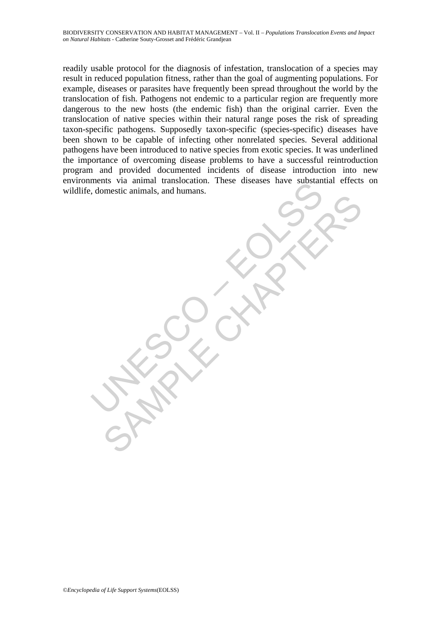Notestic animals, and humans. SAMPLE COCKAR readily usable protocol for the diagnosis of infestation, translocation of a species may result in reduced population fitness, rather than the goal of augmenting populations. For example, diseases or parasites have frequently been spread throughout the world by the translocation of fish. Pathogens not endemic to a particular region are frequently more dangerous to the new hosts (the endemic fish) than the original carrier. Even the translocation of native species within their natural range poses the risk of spreading taxon-specific pathogens. Supposedly taxon-specific (species-specific) diseases have been shown to be capable of infecting other nonrelated species. Several additional pathogens have been introduced to native species from exotic species. It was underlined the importance of overcoming disease problems to have a successful reintroduction program and provided documented incidents of disease introduction into new environments via animal translocation. These diseases have substantial effects on wildlife, domestic animals, and humans.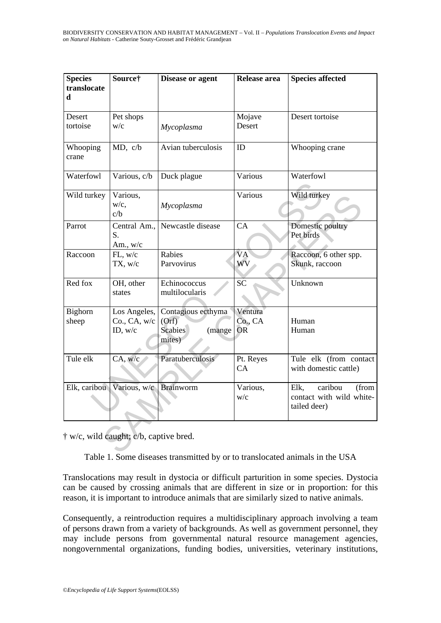| <b>Species</b><br>translocate<br>h     | Source†                                 | <b>Disease or agent</b>                                    | Release area                    | <b>Species affected</b>                                              |  |
|----------------------------------------|-----------------------------------------|------------------------------------------------------------|---------------------------------|----------------------------------------------------------------------|--|
| Desert<br>tortoise                     | Pet shops<br>W/C                        | Mycoplasma                                                 | Mojave<br>Desert                | Desert tortoise                                                      |  |
| Whooping<br>crane                      | MD, c/b                                 | Avian tuberculosis                                         | ID                              | Whooping crane                                                       |  |
| Waterfowl                              | Various, c/b                            | Duck plague                                                | Various                         | Waterfowl                                                            |  |
| Wild turkey                            | Various,<br>w/c,<br>c/b                 | Mycoplasma                                                 | Various                         | Wild turkey                                                          |  |
| Parrot                                 | Central Am.,<br>S.<br>Am., w/c          | Newcastle disease                                          | CA                              | Domestic poultry<br>Pet birds                                        |  |
| Raccoon                                | FL, w/c<br>TX, w/c                      | Rabies<br>Parvovirus                                       | <b>VA</b><br>WV                 | Raccoon, 6 other spp.<br>Skunk, raccoon                              |  |
| Red fox                                | OH, other<br>states                     | Echinococcus<br>multilocularis                             | SČ                              | Unknown                                                              |  |
| Bighorn<br>sheep                       | Los Angeles,<br>Co., CA, w/c<br>ID, w/c | Contagious ecthyma<br>(Orf)<br>Scabies<br>(mange<br>mites) | Ventura<br>Co., CA<br><b>OR</b> | Human<br>Human                                                       |  |
| Tule elk                               | CA, w/c                                 | Paratuberculosis                                           | Pt. Reyes<br>CA                 | Tule elk (from contact<br>with domestic cattle)                      |  |
|                                        | Elk, caribou Various, w/c               | <b>Brainworm</b>                                           | Various,<br>W/c                 | caribou<br>Elk,<br>(from<br>contact with wild white-<br>tailed deer) |  |
| † w/c, wild caught; c/b, captive bred. |                                         |                                                            |                                 |                                                                      |  |

Table 1. Some diseases transmitted by or to translocated animals in the USA

Translocations may result in dystocia or difficult parturition in some species. Dystocia can be caused by crossing animals that are different in size or in proportion: for this reason, it is important to introduce animals that are similarly sized to native animals.

Consequently, a reintroduction requires a multidisciplinary approach involving a team of persons drawn from a variety of backgrounds. As well as government personnel, they may include persons from governmental natural resource management agencies, nongovernmental organizations, funding bodies, universities, veterinary institutions,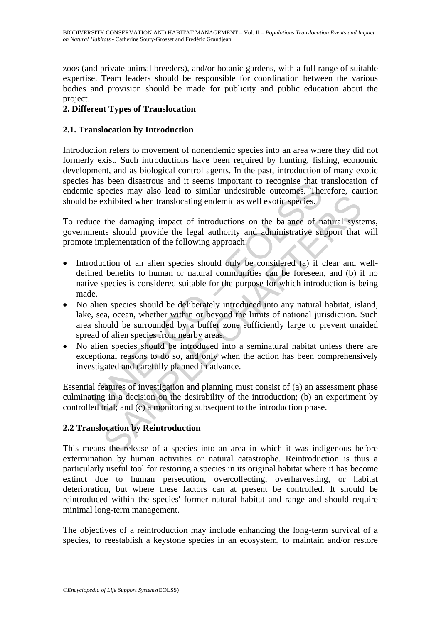zoos (and private animal breeders), and/or botanic gardens, with a full range of suitable expertise. Team leaders should be responsible for coordination between the various bodies and provision should be made for publicity and public education about the project.

### **2. Different Types of Translocation**

#### **2.1. Translocation by Introduction**

Introduction refers to movement of nonendemic species into an area where they did not formerly exist. Such introductions have been required by hunting, fishing, economic development, and as biological control agents. In the past, introduction of many exotic species has been disastrous and it seems important to recognise that translocation of endemic species may also lead to similar undesirable outcomes. Therefore, caution should be exhibited when translocating endemic as well exotic species.

To reduce the damaging impact of introductions on the balance of natural systems, governments should provide the legal authority and administrative support that will promote implementation of the following approach:

- Inso been unsatious and it seems important to recognise that the species may also lead to similar undesirable outcomes. The exhibited when translocating endemic as well exotic species of neares should provide the legal aut Exhibited when translocating endemic as well exotic species. Solution<br>sxhibited when translocating endemic as well exotic species. The damaging impact of introductions on the balance of natural systs<br>ts should provide the • Introduction of an alien species should only be considered (a) if clear and welldefined benefits to human or natural communities can be foreseen, and (b) if no native species is considered suitable for the purpose for which introduction is being made.
- No alien species should be deliberately introduced into any natural habitat, island, lake, sea, ocean, whether within or beyond the limits of national jurisdiction. Such area should be surrounded by a buffer zone sufficiently large to prevent unaided spread of alien species from nearby areas.
- No alien species should be introduced into a seminatural habitat unless there are exceptional reasons to do so, and only when the action has been comprehensively investigated and carefully planned in advance.

Essential features of investigation and planning must consist of (a) an assessment phase culminating in a decision on the desirability of the introduction; (b) an experiment by controlled trial; and (c) a monitoring subsequent to the introduction phase.

#### **2.2 Translocation by Reintroduction**

This means the release of a species into an area in which it was indigenous before extermination by human activities or natural catastrophe. Reintroduction is thus a particularly useful tool for restoring a species in its original habitat where it has become extinct due to human persecution, overcollecting, overharvesting, or habitat deterioration, but where these factors can at present be controlled. It should be reintroduced within the species' former natural habitat and range and should require minimal long-term management.

The objectives of a reintroduction may include enhancing the long-term survival of a species, to reestablish a keystone species in an ecosystem, to maintain and/or restore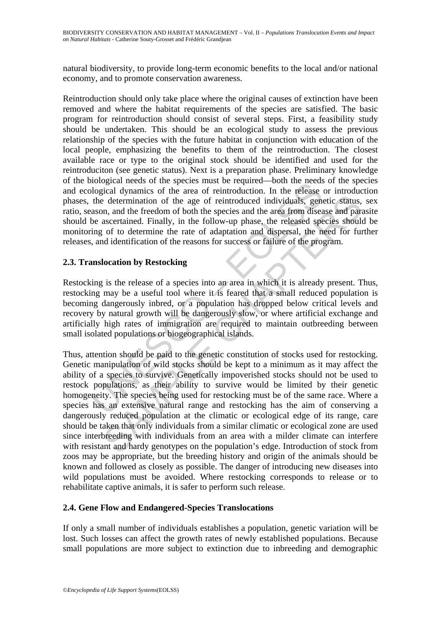natural biodiversity, to provide long-term economic benefits to the local and/or national economy, and to promote conservation awareness.

blogical needs of the species thus to required—bound the receasual<br>blogical dynamics of the area of reintroduction. In the release<br>the determination of the area of reintroduction. In the release<br>ason, and the freedom of bo Reintroduction should only take place where the original causes of extinction have been removed and where the habitat requirements of the species are satisfied. The basic program for reintroduction should consist of several steps. First, a feasibility study should be undertaken. This should be an ecological study to assess the previous relationship of the species with the future habitat in conjunction with education of the local people, emphasizing the benefits to them of the reintroduction. The closest available race or type to the original stock should be identified and used for the reintroduciton (see genetic status). Next is a preparation phase. Preliminary knowledge of the biological needs of the species must be required—both the needs of the species and ecological dynamics of the area of reintroduction. In the release or introduction phases, the determination of the age of reintroduced individuals, genetic status, sex ratio, season, and the freedom of both the species and the area from disease and parasite should be ascertained. Finally, in the follow-up phase, the released species should be monitoring of to determine the rate of adaptation and dispersal, the need for further releases, and identification of the reasons for success or failure of the program.

### **2.3. Translocation by Restocking**

Restocking is the release of a species into an area in which it is already present. Thus, restocking may be a useful tool where it is feared that a small reduced population is becoming dangerously inbred, or a population has dropped below critical levels and recovery by natural growth will be dangerously slow, or where artificial exchange and artificially high rates of immigration are required to maintain outbreeding between small isolated populations or biogeographical islands.

electermination of the age of reintroduced individuals, genetic status, n, and the freedom of both the species and the area from disease and paracerationd. Finally, in the follow-up phase, the released species should conti Thus, attention should be paid to the genetic constitution of stocks used for restocking. Genetic manipulation of wild stocks should be kept to a minimum as it may affect the ability of a species to survive. Genetically impoverished stocks should not be used to restock populations, as their ability to survive would be limited by their genetic homogeneity. The species being used for restocking must be of the same race. Where a species has an extensive natural range and restocking has the aim of conserving a dangerously reduced population at the climatic or ecological edge of its range, care should be taken that only individuals from a similar climatic or ecological zone are used since interbreeding with individuals from an area with a milder climate can interfere with resistant and hardy genotypes on the population's edge. Introduction of stock from zoos may be appropriate, but the breeding history and origin of the animals should be known and followed as closely as possible. The danger of introducing new diseases into wild populations must be avoided. Where restocking corresponds to release or to rehabilitate captive animals, it is safer to perform such release.

#### **2.4. Gene Flow and Endangered-Species Translocations**

If only a small number of individuals establishes a population, genetic variation will be lost. Such losses can affect the growth rates of newly established populations. Because small populations are more subject to extinction due to inbreeding and demographic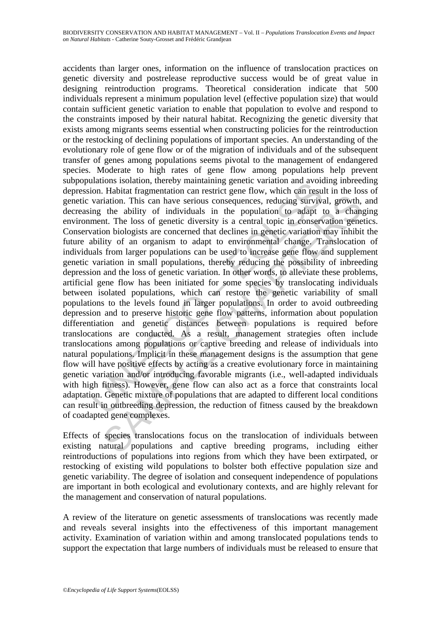andions isolation, inetroy inamitaling generic variation and avove variation. Habitat fragmentation can restrict gene flow, which can result variation. This can have serious consequences, reducing survive ing the ability o itation. This can have serious consequences, reducing survival, growth, the ability of individuals in the population to adapt to a chan, the loss of genetic diversity is a central topic in conservation genen to the ability accidents than larger ones, information on the influence of translocation practices on genetic diversity and postrelease reproductive success would be of great value in designing reintroduction programs. Theoretical consideration indicate that 500 individuals represent a minimum population level (effective population size) that would contain sufficient genetic variation to enable that population to evolve and respond to the constraints imposed by their natural habitat. Recognizing the genetic diversity that exists among migrants seems essential when constructing policies for the reintroduction or the restocking of declining populations of important species. An understanding of the evolutionary role of gene flow or of the migration of individuals and of the subsequent transfer of genes among populations seems pivotal to the management of endangered species. Moderate to high rates of gene flow among populations help prevent subpopulations isolation, thereby maintaining genetic variation and avoiding inbreeding depression. Habitat fragmentation can restrict gene flow, which can result in the loss of genetic variation. This can have serious consequences, reducing survival, growth, and decreasing the ability of individuals in the population to adapt to a changing environment. The loss of genetic diversity is a central topic in conservation genetics. Conservation biologists are concerned that declines in genetic variation may inhibit the future ability of an organism to adapt to environmental change. Translocation of individuals from larger populations can be used to increase gene flow and supplement genetic variation in small populations, thereby reducing the possibility of inbreeding depression and the loss of genetic variation. In other words, to alleviate these problems, artificial gene flow has been initiated for some species by translocating individuals between isolated populations, which can restore the genetic variability of small populations to the levels found in larger populations. In order to avoid outbreeding depression and to preserve historic gene flow patterns, information about population differentiation and genetic distances between populations is required before translocations are conducted. As a result, management strategies often include translocations among populations or captive breeding and release of individuals into natural populations. Implicit in these management designs is the assumption that gene flow will have positive effects by acting as a creative evolutionary force in maintaining genetic variation and/or introducing favorable migrants (i.e., well-adapted individuals with high fitness). However, gene flow can also act as a force that constraints local adaptation. Genetic mixture of populations that are adapted to different local conditions can result in outbreeding depression, the reduction of fitness caused by the breakdown of coadapted gene complexes.

Effects of species translocations focus on the translocation of individuals between existing natural populations and captive breeding programs, including either reintroductions of populations into regions from which they have been extirpated, or restocking of existing wild populations to bolster both effective population size and genetic variability. The degree of isolation and consequent independence of populations are important in both ecological and evolutionary contexts, and are highly relevant for the management and conservation of natural populations.

A review of the literature on genetic assessments of translocations was recently made and reveals several insights into the effectiveness of this important management activity. Examination of variation within and among translocated populations tends to support the expectation that large numbers of individuals must be released to ensure that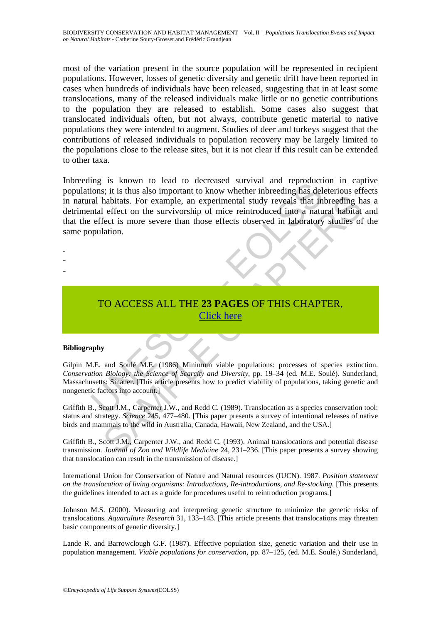most of the variation present in the source population will be represented in recipient populations. However, losses of genetic diversity and genetic drift have been reported in cases when hundreds of individuals have been released, suggesting that in at least some translocations, many of the released individuals make little or no genetic contributions to the population they are released to establish. Some cases also suggest that translocated individuals often, but not always, contribute genetic material to native populations they were intended to augment. Studies of deer and turkeys suggest that the contributions of released individuals to population recovery may be largely limited to the populations close to the release sites, but it is not clear if this result can be extended to other taxa.

ing is known to lead to deceased surviva and reproductions; it is thus also important to know whether inhereding has delay real and infinited into a nature offect is more severe than those effects observed in laboratory op Anabitats. For example, an experimental study reveals that inbreeding h<br>abitats. For example, an experimental study reveals that inbreeding h<br>effect on the survivorship of mice reintroduced into a natural habitat<br>fect is m Inbreeding is known to lead to decreased survival and reproduction in captive populations; it is thus also important to know whether inbreeding has deleterious effects in natural habitats. For example, an experimental study reveals that inbreeding has a detrimental effect on the survivorship of mice reintroduced into a natural habitat and that the effect is more severe than those effects observed in laboratory studies of the same population.

- -
- -
- -
- TO ACCESS ALL THE **23 PAGES** OF THIS CHAPTER, Click here

#### **Bibliography**

Gilpin M.E. and Soulé M.E. (1986) Minimum viable populations: processes of species extinction. *Conservation Biology: the Science of Scarcity and Diversity*, pp. 19–34 (ed. M.E. Soulé). Sunderland, Massachusetts: Sinauer. [This article presents how to predict viability of populations, taking genetic and nongenetic factors into account.]

Griffith B., Scott J.M., Carpenter J.W., and Redd C. (1989). Translocation as a species conservation tool: status and strategy. *Science* 245, 477–480. [This paper presents a survey of intentional releases of native birds and mammals to the wild in Australia, Canada, Hawaii, New Zealand, and the USA.]

Griffith B., Scott J.M., Carpenter J.W., and Redd C. (1993). Animal translocations and potential disease transmission. *Journal of Zoo and Wildlife Medicine* 24, 231–236. [This paper presents a survey showing that translocation can result in the transmission of disease.]

International Union for Conservation of Nature and Natural resources (IUCN). 1987. *Position statement on the translocation of living organisms: Introductions, Re-introductions, and Re-stocking.* [This presents the guidelines intended to act as a guide for procedures useful to reintroduction programs.]

Johnson M.S. (2000). Measuring and interpreting genetic structure to minimize the genetic risks of translocations. *Aquaculture Research* 31, 133–143. [This article presents that translocations may threaten basic components of genetic diversity.]

Lande R. and Barrowclough G.F. (1987). Effective population size, genetic variation and their use in population management. *Viable populations for conservation*, pp. 87–125, (ed. M.E. Soulé.) Sunderland,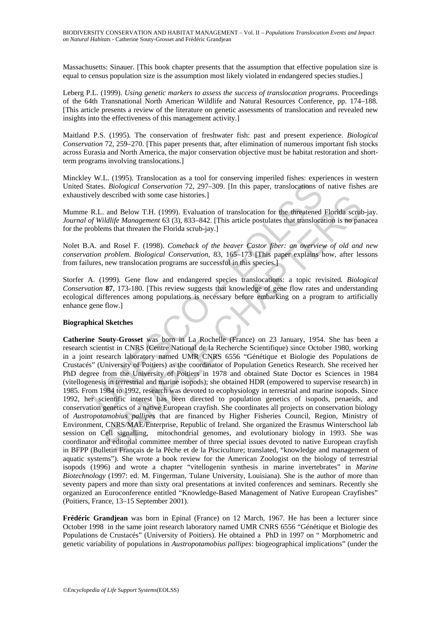Massachusetts: Sinauer. [This book chapter presents that the assumption that effective population size is equal to census population size is the assumption most likely violated in endangered species studies.]

Leberg P.L. (1999). *Using genetic markers to assess the success of translocation programs*. Proceedings of the 64th Transnational North American Wildlife and Natural Resources Conference, pp. 174–188. [This article presents a review of the literature on genetic assessments of translocation and revealed new insights into the effectiveness of this management activity.]

Maitland P.S. (1995). The conservation of freshwater fish: past and present experience. *Biological Conservation* 72, 259–270. [This paper presents that, after elimination of numerous important fish stocks across Eurasia and North America, the major conservation objective must be habitat restoration and shortterm programs involving translocations.]

Minckley W.L. (1995). Translocation as a tool for conserving imperiled fishes: experiences in western United States. *Biological Conservation* 72, 297–309. [In this paper, translocations of native fishes are exhaustively described with some case histories.]

Mumme R.L. and Below T.H. (1999). Evaluation of translocation for the threatened Florida scrub-jay. *Journal of Wildlife Management* 63 (3), 833–842. [This article postulates that translocation is no panacea for the problems that threaten the Florida scrub-jay.]

Nolet B.A. and Rosel F. (1998). *Comeback of the beaver Castor fiber: an overview of old and new conservation problem*. *Biological Conservation*, 83, 165–173 [This paper explains how, after lessons from failures, new translocation programs are successful in this species.]

Storfer A. (1999). Gene flow and endangered species translocations: a topic revisited*. Biological Conservation* **87**, 173-180. [This review suggests that knowledge of gene flow rates and understanding ecological differences among populations is necessary before embarking on a program to artificially enhance gene flow.]

#### **Biographical Sketches**

tates. *Biological Conservation* 72, 297–309. [In this paper, translocations of<br>ely described with some case histories.]<br>R.L. and Below T.H. (1999). Evaluation of translocation for the threatened<br>oblems that threaten the F described with some case histones.]<br>
a. and Below T.H. (1999). Evaluation of translocation for the threatened Elorida sculing *Management* 63 (3), 833–842.<br>
indigre *Management* 63 (3), 833–842.<br>
am Rosel F. (1998). *Comeb* **Catherine Souty-Grosset** was born in La Rochelle (France) on 23 January, 1954. She has been a research scientist in CNRS (Centre National de la Recherche Scientifique) since October 1980, working in a joint research laboratory named UMR CNRS 6556 "Génétique et Biologie des Populations de Crustacés" (University of Poitiers) as the coordinator of Population Genetics Research. She received her PhD degree from the University of Poitiers in 1978 and obtained State Doctor es Sciences in 1984 (vitellogenesis in terrestrial and marine isopods); she obtained HDR (empowered to supervise research) in 1985. From 1984 to 1992, research was devoted to ecophysiology in terrestrial and marine isopods. Since 1992, her scientific interest has been directed to population genetics of isopods, penaeids, and conservation genetics of a native European crayfish. She coordinates all projects on conservation biology of *Austropotamobius pallipes* that are financed by Higher Fisheries Council, Region, Ministry of Environment, CNRS/MAE/Enterprise, Republic of Ireland. She organized the Erasmus Winterschool lab session on Cell signalling, mitochondrial genomes, and evolutionary biology in 1993. She was coordinator and editorial committee member of three special issues devoted to native European crayfish in BFPP (Bulletin Français de la Pêche et de la Pisciculture; translated, "knowledge and management of aquatic systems"). She wrote a book review for the American Zoologist on the biology of terrestrial isopods (1996) and wrote a chapter "vitellogenin synthesis in marine invertebrates" in *Marine Biotechnology* (1997: ed. M. Fingerman, Tulane University, Louisiana). She is the author of more than seventy papers and more than sixty oral presentations at invited conferences and seminars. Recently she organized an Euroconference entitled "Knowledge-Based Management of Native European Crayfishes" (Poitiers, France, 13–15 September 2001).

**Frédéric Grandjean** was born in Epinal (France) on 12 March, 1967. He has been a lecturer since October 1998 in the same joint research laboratory named UMR CNRS 6556 "Génétique et Biologie des Populations de Crustacés" (University of Poitiers). He obtained a PhD in 1997 on " Morphometric and genetic variability of populations in *Austropotamobius pallipes*: biogeographical implications" (under the